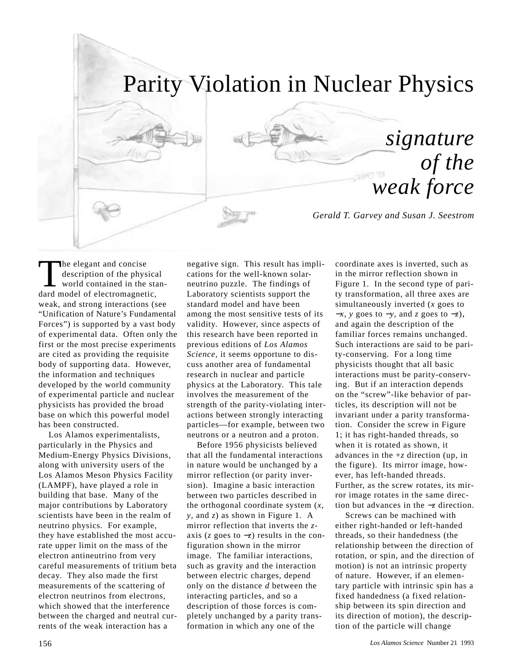# Parity Violation in Nuclear Physics

*signature of the weak force*

*Gerald T. Garvey and Susan J. Seestrom*

The elegant and concise description of the physical world contained in the standard model of electromagnetic, weak, and strong interactions (see "Unification of Nature's Fundamental Forces") is supported by a vast body of experimental data. Often only the first or the most precise experiments are cited as providing the requisite body of supporting data. However, the information and techniques developed by the world community of experimental particle and nuclear physicists has provided the broad base on which this powerful model has been constructed.

Los Alamos experimentalists, particularly in the Physics and Medium-Energy Physics Divisions, along with university users of the Los Alamos Meson Physics Facility (LAMPF), have played a role in building that base. Many of the major contributions by Laboratory scientists have been in the realm of neutrino physics. For example, they have established the most accurate upper limit on the mass of the electron antineutrino from very careful measurements of tritium beta decay. They also made the first measurements of the scattering of electron neutrinos from electrons, which showed that the interference between the charged and neutral currents of the weak interaction has a

negative sign. This result has implications for the well-known solarneutrino puzzle. The findings of Laboratory scientists support the standard model and have been among the most sensitive tests of its validity. However, since aspects of this research have been reported in previous editions of *Los Alamos Science,* it seems opportune to discuss another area of fundamental research in nuclear and particle physics at the Laboratory. This tale involves the measurement of the strength of the parity-violating interactions between strongly interacting particles—for example, between two neutrons or a neutron and a proton.

Before 1956 physicists believed that all the fundamental interactions in nature would be unchanged by a mirror reflection (or parity inversion). Imagine a basic interaction between two particles described in the orthogonal coordinate system (*x*, *y*, and *z*) as shown in Figure 1. A mirror reflection that inverts the *z*axis (*z* goes to −*z*) results in the configuration shown in the mirror image. The familiar interactions, such as gravity and the interaction between electric charges, depend only on the distance *d* between the interacting particles, and so a description of those forces is completely unchanged by a parity transformation in which any one of the

coordinate axes is inverted, such as in the mirror reflection shown in Figure 1. In the second type of parity transformation, all three axes are simultaneously inverted (*x* goes to −*x*, *y* goes to −*y*, and *z* goes to −*z*), and again the description of the familiar forces remains unchanged. Such interactions are said to be parity-conserving. For a long time physicists thought that all basic interactions must be parity-conserving. But if an interaction depends on the "screw"-like behavior of particles, its description will not be invariant under a parity transformation. Consider the screw in Figure 1; it has right-handed threads, so when it is rotated as shown, it advances in the  $+z$  direction (up, in the figure). Its mirror image, however, has left-handed threads. Further, as the screw rotates, its mirror image rotates in the same direction but advances in the −*z* direction.

Screws can be machined with either right-handed or left-handed threads, so their handedness (the relationship between the direction of rotation, or spin, and the direction of motion) is not an intrinsic property of nature. However, if an elementary particle with intrinsic spin has a fixed handedness (a fixed relationship between its spin direction and its direction of motion), the description of the particle will change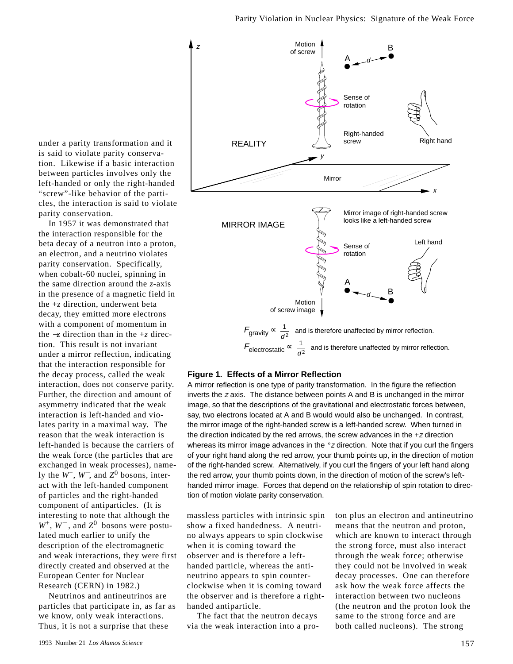under a parity transformation and it is said to violate parity conservation. Likewise if a basic interaction between particles involves only the left-handed or only the right-handed "screw"-like behavior of the particles, the interaction is said to violate parity conservation.

In 1957 it was demonstrated that the interaction responsible for the beta decay of a neutron into a proton, an electron, and a neutrino violates parity conservation. Specifically, when cobalt-60 nuclei, spinning in the same direction around the *z*-axis in the presence of a magnetic field in the +*z* direction, underwent beta decay, they emitted more electrons with a component of momentum in the −*z* direction than in the +*z* direction. This result is not invariant under a mirror reflection, indicating that the interaction responsible for the decay process, called the weak interaction, does not conserve parity. Further, the direction and amount of asymmetry indicated that the weak interaction is left-handed and violates parity in a maximal way. The reason that the weak interaction is left-handed is because the carriers of the weak force (the particles that are exchanged in weak processes), namely the *W*+, *W*−, and *Z*<sup>0</sup> bosons, interact with the left-handed component of particles and the right-handed component of antiparticles. (It is interesting to note that although the *W*+, *W*<sup>−</sup> , and *Z*0 bosons were postulated much earlier to unify the description of the electromagnetic and weak interactions, they were first directly created and observed at the European Center for Nuclear Research (CERN) in 1982.)

Neutrinos and antineutrinos are particles that participate in, as far as we know, only weak interactions. Thus, it is not a surprise that these



#### **Figure 1. Effects of a Mirror Reflection**

A mirror reflection is one type of parity transformation. In the figure the reflection inverts the <sup>z</sup> axis. The distance between points A and B is unchanged in the mirror image, so that the descriptions of the gravitational and electrostatic forces between, say, two electrons located at A and B would would also be unchanged. In contrast, the mirror image of the right-handed screw is a left-handed screw. When turned in the direction indicated by the red arrows, the screw advances in the  $+z$  direction whereas its mirror image advances in the  $\degree$ z direction. Note that if you curl the fingers of your right hand along the red arrow, your thumb points up, in the direction of motion of the right-handed screw. Alternatively, if you curl the fingers of your left hand along the red arrow, your thumb points down, in the direction of motion of the screw's lefthanded mirror image. Forces that depend on the relationship of spin rotation to direction of motion violate parity conservation.

massless particles with intrinsic spin show a fixed handedness. A neutrino always appears to spin clockwise when it is coming toward the observer and is therefore a lefthanded particle, whereas the antineutrino appears to spin counterclockwise when it is coming toward the observer and is therefore a righthanded antiparticle.

The fact that the neutron decays via the weak interaction into a proton plus an electron and antineutrino means that the neutron and proton, which are known to interact through the strong force, must also interact through the weak force; otherwise they could not be involved in weak decay processes. One can therefore ask how the weak force affects the interaction between two nucleons (the neutron and the proton look the same to the strong force and are both called nucleons). The strong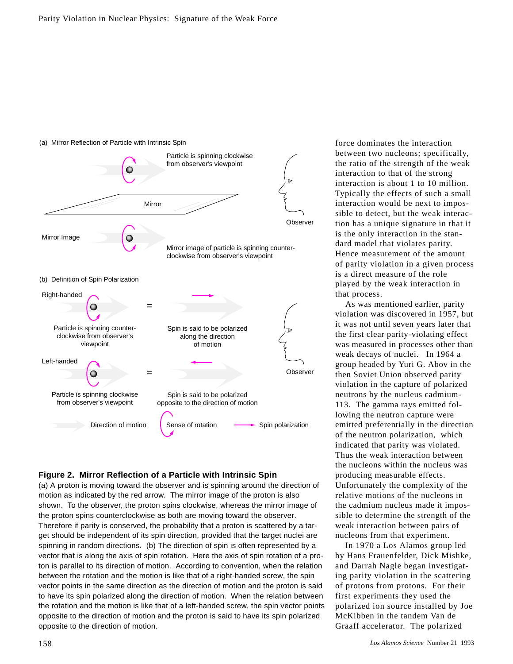

#### (a) Mirror Reflection of Particle with Intrinsic Spin

#### **Figure 2. Mirror Reflection of a Particle with Intrinsic Spin**

(a) A proton is moving toward the observer and is spinning around the direction of motion as indicated by the red arrow. The mirror image of the proton is also shown. To the observer, the proton spins clockwise, whereas the mirror image of the proton spins counterclockwise as both are moving toward the observer. Therefore if parity is conserved, the probability that a proton is scattered by a target should be independent of its spin direction, provided that the target nuclei are spinning in random directions. (b) The direction of spin is often represented by a vector that is along the axis of spin rotation. Here the axis of spin rotation of a proton is parallel to its direction of motion. According to convention, when the relation between the rotation and the motion is like that of a right-handed screw, the spin vector points in the same direction as the direction of motion and the proton is said to have its spin polarized along the direction of motion. When the relation between the rotation and the motion is like that of a left-handed screw, the spin vector points opposite to the direction of motion and the proton is said to have its spin polarized opposite to the direction of motion.

force dominates the interaction between two nucleons; specifically, the ratio of the strength of the weak interaction to that of the strong interaction is about 1 to 10 million. Typically the effects of such a small interaction would be next to impossible to detect, but the weak interaction has a unique signature in that it is the only interaction in the standard model that violates parity. Hence measurement of the amount of parity violation in a given process is a direct measure of the role played by the weak interaction in that process.

As was mentioned earlier, parity violation was discovered in 1957, but it was not until seven years later that the first clear parity-violating effect was measured in processes other than weak decays of nuclei. In 1964 a group headed by Yuri G. Abov in the then Soviet Union observed parity violation in the capture of polarized neutrons by the nucleus cadmium-113. The gamma rays emitted following the neutron capture were emitted preferentially in the direction of the neutron polarization, which indicated that parity was violated. Thus the weak interaction between the nucleons within the nucleus was producing measurable effects. Unfortunately the complexity of the relative motions of the nucleons in the cadmium nucleus made it impossible to determine the strength of the weak interaction between pairs of nucleons from that experiment.

In 1970 a Los Alamos group led by Hans Frauenfelder, Dick Mishke, and Darrah Nagle began investigating parity violation in the scattering of protons from protons. For their first experiments they used the polarized ion source installed by Joe McKibben in the tandem Van de Graaff accelerator. The polarized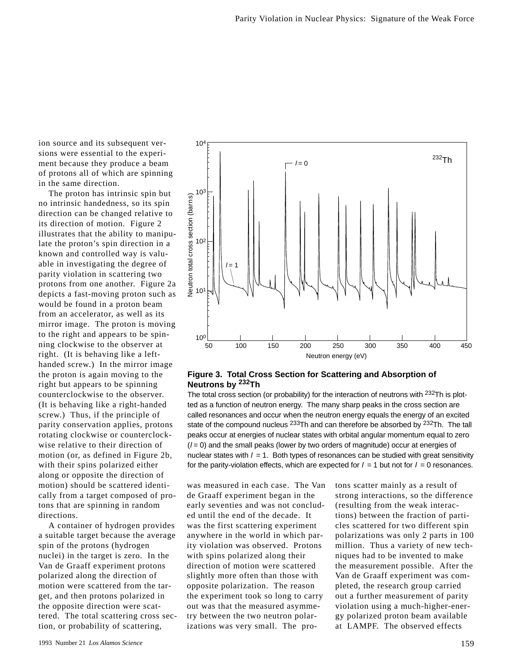ion source and its subsequent versions were essential to the experiment because they produce a beam of protons all of which are spinning in the same direction.

The proton has intrinsic spin but no intrinsic handedness, so its spin direction can be changed relative to its direction of motion. Figure 2 illustrates that the ability to manipulate the proton's spin direction in a known and controlled way is valuable in investigating the degree of parity violation in scattering two protons from one another. Figure 2a depicts a fast-moving proton such as would be found in a proton beam from an accelerator, as well as its mirror image. The proton is moving to the right and appears to be spinning clockwise to the observer at right. (It is behaving like a lefthanded screw.) In the mirror image the proton is again moving to the right but appears to be spinning counterclockwise to the observer. (It is behaving like a right-handed screw.) Thus, if the principle of parity conservation applies, protons rotating clockwise or counterclockwise relative to their direction of motion (or, as defined in Figure 2b, with their spins polarized either along or opposite the direction of motion) should be scattered identically from a target composed of protons that are spinning in random directions.

A container of hydrogen provides a suitable target because the average spin of the protons (hydrogen nuclei) in the target is zero. In the Van de Graaff experiment protons polarized along the direction of motion were scattered from the target, and then protons polarized in the opposite direction were scattered. The total scattering cross section, or probability of scattering,



#### **Figure 3. Total Cross Section for Scattering and Absorption of Neutrons by 232Th**

The total cross section (or probability) for the interaction of neutrons with <sup>232</sup>Th is plotted as a function of neutron energy. The many sharp peaks in the cross section are called resonances and occur when the neutron energy equals the energy of an excited state of the compound nucleus <sup>233</sup>Th and can therefore be absorbed by <sup>232</sup>Th. The tall peaks occur at energies of nuclear states with orbital angular momentum equal to zero  $(1 = 0)$  and the small peaks (lower by two orders of magnitude) occur at energies of nuclear states with  $l = 1$ . Both types of resonances can be studied with great sensitivity for the parity-violation effects, which are expected for  $l = 1$  but not for  $l = 0$  resonances.

was measured in each case. The Van de Graaff experiment began in the early seventies and was not concluded until the end of the decade. It was the first scattering experiment anywhere in the world in which parity violation was observed. Protons with spins polarized along their direction of motion were scattered slightly more often than those with opposite polarization. The reason the experiment took so long to carry out was that the measured asymmetry between the two neutron polarizations was very small. The protons scatter mainly as a result of strong interactions, so the difference (resulting from the weak interactions) between the fraction of particles scattered for two different spin polarizations was only 2 parts in 100 million. Thus a variety of new techniques had to be invented to make the measurement possible. After the Van de Graaff experiment was completed, the research group carried out a further measurement of parity violation using a much-higher-energy polarized proton beam available at LAMPF. The observed effects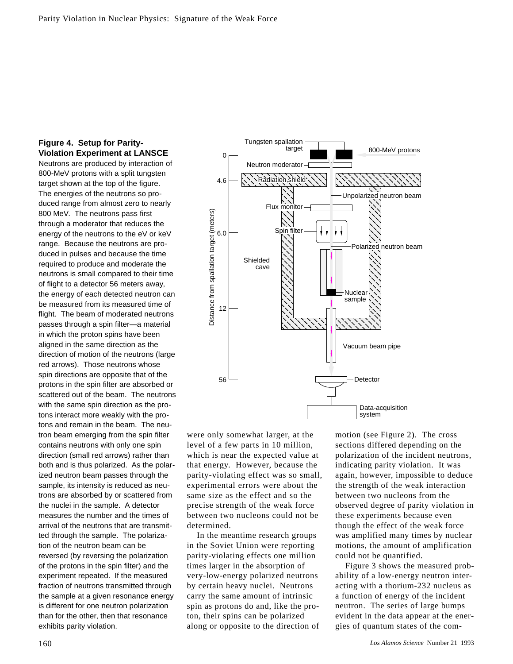# **Figure 4. Setup for Parity-Violation Experiment at LANSCE**

Neutrons are produced by interaction of 800-MeV protons with a split tungsten target shown at the top of the figure. The energies of the neutrons so produced range from almost zero to nearly 800 MeV. The neutrons pass first through a moderator that reduces the energy of the neutrons to the eV or keV range. Because the neutrons are produced in pulses and because the time required to produce and moderate the neutrons is small compared to their time of flight to a detector 56 meters away, the energy of each detected neutron can be measured from its measured time of flight. The beam of moderated neutrons passes through a spin filter—a material in which the proton spins have been aligned in the same direction as the direction of motion of the neutrons (large red arrows). Those neutrons whose spin directions are opposite that of the protons in the spin filter are absorbed or scattered out of the beam. The neutrons with the same spin direction as the protons interact more weakly with the protons and remain in the beam. The neutron beam emerging from the spin filter contains neutrons with only one spin direction (small red arrows) rather than both and is thus polarized. As the polarized neutron beam passes through the sample, its intensity is reduced as neutrons are absorbed by or scattered from the nuclei in the sample. A detector measures the number and the times of arrival of the neutrons that are transmitted through the sample. The polarization of the neutron beam can be reversed (by reversing the polarization of the protons in the spin filter) and the experiment repeated. If the measured fraction of neutrons transmitted through the sample at a given resonance energy is different for one neutron polarization than for the other, then that resonance exhibits parity violation.



were only somewhat larger, at the level of a few parts in 10 million, which is near the expected value at that energy. However, because the parity-violating effect was so small, experimental errors were about the same size as the effect and so the precise strength of the weak force between two nucleons could not be determined.

In the meantime research groups in the Soviet Union were reporting parity-violating effects one million times larger in the absorption of very-low-energy polarized neutrons by certain heavy nuclei. Neutrons carry the same amount of intrinsic spin as protons do and, like the proton, their spins can be polarized along or opposite to the direction of motion (see Figure 2). The cross sections differed depending on the polarization of the incident neutrons, indicating parity violation. It was again, however, impossible to deduce the strength of the weak interaction between two nucleons from the observed degree of parity violation in these experiments because even though the effect of the weak force was amplified many times by nuclear motions, the amount of amplification could not be quantified.

Figure 3 shows the measured probability of a low-energy neutron interacting with a thorium-232 nucleus as a function of energy of the incident neutron. The series of large bumps evident in the data appear at the energies of quantum states of the com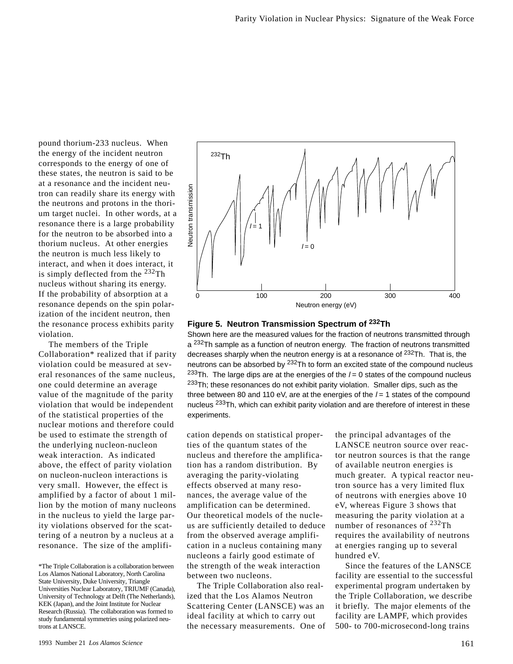pound thorium-233 nucleus. When the energy of the incident neutron corresponds to the energy of one of these states, the neutron is said to be at a resonance and the incident neutron can readily share its energy with the neutrons and protons in the thorium target nuclei. In other words, at a resonance there is a large probability for the neutron to be absorbed into a thorium nucleus. At other energies the neutron is much less likely to interact, and when it does interact, it is simply deflected from the  $^{232}$ Th nucleus without sharing its energy. If the probability of absorption at a resonance depends on the spin polarization of the incident neutron, then the resonance process exhibits parity violation.

The members of the Triple Collaboration\* realized that if parity violation could be measured at several resonances of the same nucleus, one could determine an average value of the magnitude of the parity violation that would be independent of the statistical properties of the nuclear motions and therefore could be used to estimate the strength of the underlying nucleon-nucleon weak interaction. As indicated above, the effect of parity violation on nucleon-nucleon interactions is very small. However, the effect is amplified by a factor of about 1 million by the motion of many nucleons in the nucleus to yield the large parity violations observed for the scattering of a neutron by a nucleus at a resonance. The size of the amplifi-



## **Figure 5. Neutron Transmission Spectrum of 232Th**

Shown here are the measured values for the fraction of neutrons transmitted through a <sup>232</sup>Th sample as a function of neutron energy. The fraction of neutrons transmitted decreases sharply when the neutron energy is at a resonance of  $^{232}$ Th. That is, the neutrons can be absorbed by <sup>232</sup>Th to form an excited state of the compound nucleus <sup>233</sup>Th. The large dips are at the energies of the  $l = 0$  states of the compound nucleus <sup>233</sup>Th; these resonances do not exhibit parity violation. Smaller dips, such as the three between 80 and 110 eV, are at the energies of the  $l = 1$  states of the compound nucleus <sup>233</sup>Th, which can exhibit parity violation and are therefore of interest in these experiments.

cation depends on statistical properties of the quantum states of the nucleus and therefore the amplification has a random distribution. By averaging the parity-violating effects observed at many resonances, the average value of the amplification can be determined. Our theoretical models of the nucleus are sufficiently detailed to deduce from the observed average amplification in a nucleus containing many nucleons a fairly good estimate of the strength of the weak interaction between two nucleons.

The Triple Collaboration also realized that the Los Alamos Neutron Scattering Center (LANSCE) was an ideal facility at which to carry out the necessary measurements. One of the principal advantages of the LANSCE neutron source over reactor neutron sources is that the range of available neutron energies is much greater. A typical reactor neutron source has a very limited flux of neutrons with energies above 10 eV, whereas Figure 3 shows that measuring the parity violation at a number of resonances of <sup>232</sup>Th requires the availability of neutrons at energies ranging up to several hundred eV.

Since the features of the LANSCE facility are essential to the successful experimental program undertaken by the Triple Collaboration, we describe it briefly. The major elements of the facility are LAMPF, which provides 500- to 700-microsecond-long trains

<sup>\*</sup>The Triple Collaboration is a collaboration between Los Alamos National Laboratory, North Carolina State University, Duke University, Triangle Universities Nuclear Laboratory, TRIUMF (Canada), University of Technology at Delft (The Netherlands), KEK (Japan), and the Joint Institute for Nuclear Research (Russia). The collaboration was formed to study fundamental symmetries using polarized neutrons at LANSCE.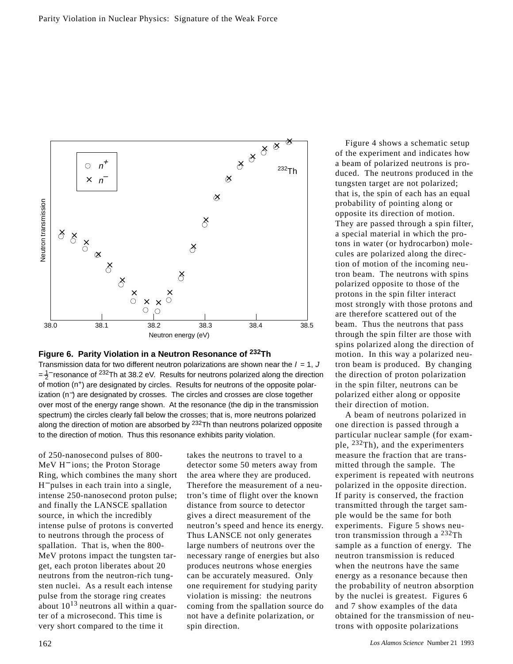



Transmission data for two different neutron polarizations are shown near the  $l = 1$ , J  $=\frac{1}{2}$  resonance of <sup>232</sup>Th at 38.2 eV. Results for neutrons polarized along the direction of motion  $(n^+)$  are designated by circles. Results for neutrons of the opposite polarization (n−) are designated by crosses. The circles and crosses are close together over most of the energy range shown. At the resonance (the dip in the transmission spectrum) the circles clearly fall below the crosses; that is, more neutrons polarized along the direction of motion are absorbed by <sup>232</sup>Th than neutrons polarized opposite to the direction of motion. Thus this resonance exhibits parity violation.

of 250-nanosecond pulses of 800- MeV H<sup>−</sup> ions; the Proton Storage Ring, which combines the many short H− pulses in each train into a single, intense 250-nanosecond proton pulse; and finally the LANSCE spallation source, in which the incredibly intense pulse of protons is converted to neutrons through the process of spallation. That is, when the 800- MeV protons impact the tungsten target, each proton liberates about 20 neutrons from the neutron-rich tungsten nuclei. As a result each intense pulse from the storage ring creates about  $10^{13}$  neutrons all within a quarter of a microsecond. This time is very short compared to the time it

takes the neutrons to travel to a detector some 50 meters away from the area where they are produced. Therefore the measurement of a neutron's time of flight over the known distance from source to detector gives a direct measurement of the neutron's speed and hence its energy. Thus LANSCE not only generates large numbers of neutrons over the necessary range of energies but also produces neutrons whose energies can be accurately measured. Only one requirement for studying parity violation is missing: the neutrons coming from the spallation source do not have a definite polarization, or spin direction.

Figure 4 shows a schematic setup of the experiment and indicates how a beam of polarized neutrons is produced. The neutrons produced in the tungsten target are not polarized; that is, the spin of each has an equal probability of pointing along or opposite its direction of motion. They are passed through a spin filter, a special material in which the protons in water (or hydrocarbon) molecules are polarized along the direction of motion of the incoming neutron beam. The neutrons with spins polarized opposite to those of the protons in the spin filter interact most strongly with those protons and are therefore scattered out of the beam. Thus the neutrons that pass through the spin filter are those with spins polarized along the direction of motion. In this way a polarized neutron beam is produced. By changing the direction of proton polarization in the spin filter, neutrons can be polarized either along or opposite their direction of motion.

A beam of neutrons polarized in one direction is passed through a particular nuclear sample (for example,  $^{232}$ Th), and the experimenters measure the fraction that are transmitted through the sample. The experiment is repeated with neutrons polarized in the opposite direction. If parity is conserved, the fraction transmitted through the target sample would be the same for both experiments. Figure 5 shows neutron transmission through a 232Th sample as a function of energy. The neutron transmission is reduced when the neutrons have the same energy as a resonance because then the probability of neutron absorption by the nuclei is greatest. Figures 6 and 7 show examples of the data obtained for the transmission of neutrons with opposite polarizations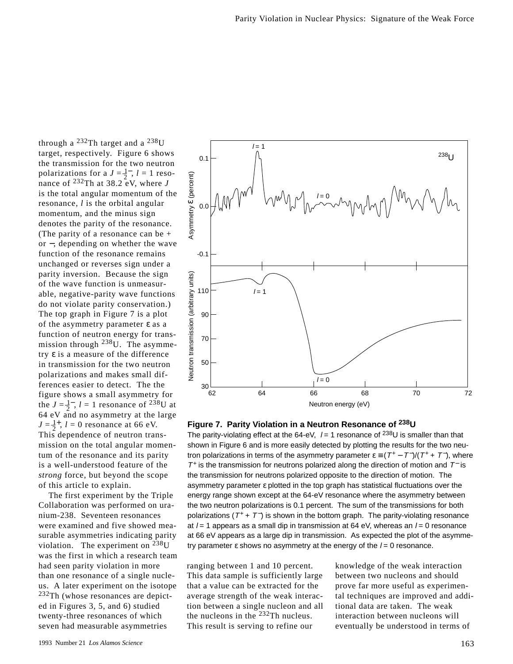through a  $^{232}$ Th target and a  $^{238}$ U target, respectively. Figure 6 shows the transmission for the two neutron polarizations for a  $J = \frac{1}{2}$ ,  $l = 1$  resonance of  $^{232}$ Th at  $38.2 \text{ eV}$ , where *J* is the total angular momentum of the resonance, *l* is the orbital angular momentum, and the minus sign denotes the parity of the resonance. (The parity of a resonance can be + or −, depending on whether the wave function of the resonance remains unchanged or reverses sign under a parity inversion. Because the sign of the wave function is unmeasurable, negative-parity wave functions do not violate parity conservation.) The top graph in Figure 7 is a plot of the asymmetry parameter  $\varepsilon$  as a function of neutron energy for transmission through  $^{238}$ U. The asymmetry ε is a measure of the difference in transmission for the two neutron polarizations and makes small differences easier to detect. The the figure shows a small asymmetry for the  $J = \frac{1}{2}$ ,  $l = 1$  resonance of <sup>238</sup>U at 64 eV and no asymmetry at the large  $J = \frac{1}{2}$ <sup>+</sup>, *l* = 0 resonance at 66 eV. This dependence of neutron transmission on the total angular momentum of the resonance and its parity is a well-understood feature of the *strong* force, but beyond the scope of this article to explain.

The first experiment by the Triple Collaboration was performed on uranium-238. Seventeen resonances were examined and five showed measurable asymmetries indicating parity violation. The experiment on  $^{238}$ U was the first in which a research team had seen parity violation in more than one resonance of a single nucleus. A later experiment on the isotope <sup>232</sup>Th (whose resonances are depicted in Figures 3, 5, and 6) studied twenty-three resonances of which seven had measurable asymmetries



**Figure 7. Parity Violation in a Neutron Resonance of 238U**

The parity-violating effect at the 64-eV,  $l = 1$  resonance of <sup>238</sup>U is smaller than that shown in Figure 6 and is more easily detected by plotting the results for the two neutron polarizations in terms of the asymmetry parameter  $\varepsilon = (T^+ - T^-)/(T^+ + T^-)$ , where  $T^+$  is the transmission for neutrons polarized along the direction of motion and  $T^-$  is the transmission for neutrons polarized opposite to the direction of motion. The asymmetry parameter ε plotted in the top graph has statistical fluctuations over the energy range shown except at the 64-eV resonance where the asymmetry between the two neutron polarizations is 0.1 percent. The sum of the transmissions for both polarizations ( $T^+$  +  $T^-$ ) is shown in the bottom graph. The parity-violating resonance at  $l = 1$  appears as a small dip in transmission at 64 eV, whereas an  $l = 0$  resonance at 66 eV appears as a large dip in transmission. As expected the plot of the asymmetry parameter  $\varepsilon$  shows no asymmetry at the energy of the  $l = 0$  resonance.

ranging between 1 and 10 percent. This data sample is sufficiently large that a value can be extracted for the average strength of the weak interaction between a single nucleon and all the nucleons in the 232Th nucleus. This result is serving to refine our

knowledge of the weak interaction between two nucleons and should prove far more useful as experimental techniques are improved and additional data are taken. The weak interaction between nucleons will eventually be understood in terms of